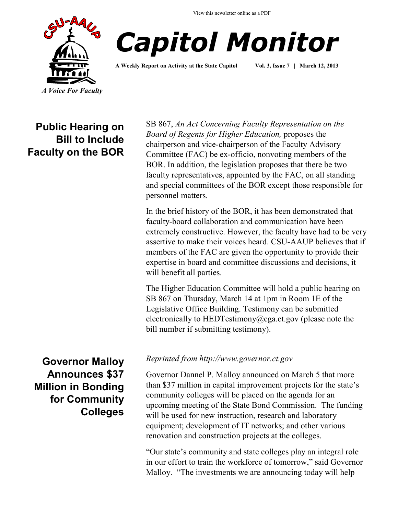



**A Weekly Report on Activity at the State Capitol Vol. 3, Issue 7 | March 12, 2013**

## **Public Hearing on Bill to Include Faculty on the BOR**

# **Governor Malloy Announces \$37 Million in Bonding for Community Colleges**

SB 867, *[An Act Concerning Faculty Representation on the](http://www.cga.ct.gov/2013/TOB/s/pdf/2013SB-00867-R00-SB.pdf)  [Board of Regents for Higher Education,](http://www.cga.ct.gov/2013/TOB/s/pdf/2013SB-00867-R00-SB.pdf)* proposes the chairperson and vice-chairperson of the Faculty Advisory Committee (FAC) be ex-officio, nonvoting members of the BOR. In addition, the legislation proposes that there be two faculty representatives, appointed by the FAC, on all standing and special committees of the BOR except those responsible for personnel matters.

In the brief history of the BOR, it has been demonstrated that faculty-board collaboration and communication have been extremely constructive. However, the faculty have had to be very assertive to make their voices heard. CSU-AAUP believes that if members of the FAC are given the opportunity to provide their expertise in board and committee discussions and decisions, it will benefit all parties.

The Higher Education Committee will hold a public hearing on SB 867 on Thursday, March 14 at 1pm in Room 1E of the Legislative Office Building. Testimony can be submitted electronically to [HEDTestimony@cga.ct.gov](mailto:HEDTestimony@cga.ct.gov) (please note the bill number if submitting testimony).

#### *Reprinted from http://www.governor.ct.gov*

Governor Dannel P. Malloy announced on March 5 that more than \$37 million in capital improvement projects for the state's community colleges will be placed on the agenda for an upcoming meeting of the State Bond Commission. The funding will be used for new instruction, research and laboratory equipment; development of IT networks; and other various renovation and construction projects at the colleges.

"Our state's community and state colleges play an integral role in our effort to train the workforce of tomorrow," said Governor Malloy. "The investments we are announcing today will help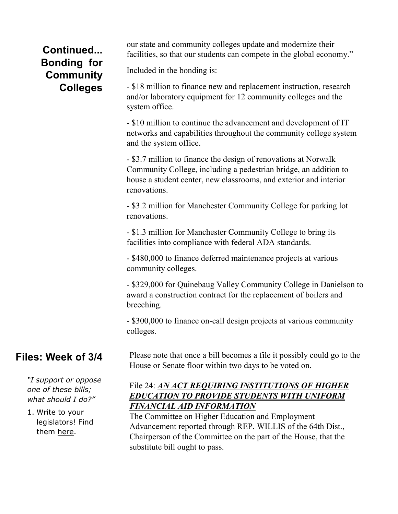# **Continued... Bonding for Community Colleges**

our state and community colleges update and modernize their facilities, so that our students can compete in the global economy."

Included in the bonding is:

- \$18 million to finance new and replacement instruction, research and/or laboratory equipment for 12 community colleges and the system office.

- \$10 million to continue the advancement and development of IT networks and capabilities throughout the community college system and the system office.

- \$3.7 million to finance the design of renovations at Norwalk Community College, including a pedestrian bridge, an addition to house a student center, new classrooms, and exterior and interior renovations.

- \$3.2 million for Manchester Community College for parking lot renovations.

- \$1.3 million for Manchester Community College to bring its facilities into compliance with federal ADA standards.

- \$480,000 to finance deferred maintenance projects at various community colleges.

- \$329,000 for Quinebaug Valley Community College in Danielson to award a construction contract for the replacement of boilers and breeching.

- \$300,000 to finance on-call design projects at various community colleges.

## **Files: Week of 3/4**

*"I support or oppose one of these bills; what should I do?"*

1. Write to your legislators! Find them [here.](http://www.cga.ct.gov/asp/menu/CGAFindLeg.asp)

Please note that once a bill becomes a file it possibly could go to the House or Senate floor within two days to be voted on.

### File 24: *[AN ACT REQUIRING INSTITUTIONS OF HIGHER](http://www.cga.ct.gov/asp/cgabillstatus/cgabillstatus.asp?selBillType=File+Copy&bill_num=24&which_year=2013&SUBMIT1.x=6&SUBMIT1.y=11&SUBMIT1=Normal)  [EDUCATION TO PROVIDE STUDENTS WITH UNIFORM](http://www.cga.ct.gov/asp/cgabillstatus/cgabillstatus.asp?selBillType=File+Copy&bill_num=24&which_year=2013&SUBMIT1.x=6&SUBMIT1.y=11&SUBMIT1=Normal)  [FINANCIAL AID INFORMATION](http://www.cga.ct.gov/asp/cgabillstatus/cgabillstatus.asp?selBillType=File+Copy&bill_num=24&which_year=2013&SUBMIT1.x=6&SUBMIT1.y=11&SUBMIT1=Normal)*

The Committee on Higher Education and Employment Advancement reported through REP. WILLIS of the 64th Dist., Chairperson of the Committee on the part of the House, that the substitute bill ought to pass.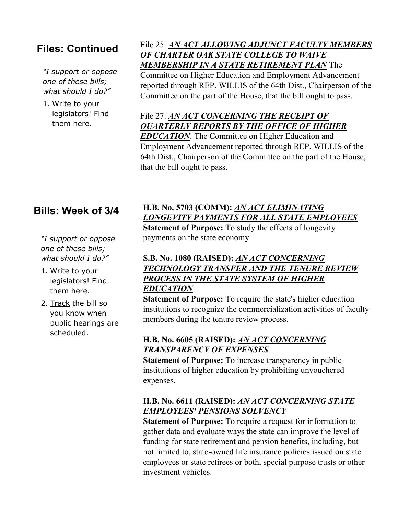## **Files: Continued**

*"I support or oppose one of these bills; what should I do?"*

1. Write to your legislators! Find them [here.](http://www.cga.ct.gov/asp/menu/CGAFindLeg.asp)

### File 25: *[AN ACT ALLOWING ADJUNCT FACULTY MEMBERS](http://www.cga.ct.gov/asp/cgabillstatus/cgabillstatus.asp?selBillType=File+Copy&bill_num=25&which_year=2013&SUBMIT1.x=-643&SUBMIT1.y=0&SUBMIT1=Normal)  [OF CHARTER OAK STATE COLLEGE TO WAIVE](http://www.cga.ct.gov/asp/cgabillstatus/cgabillstatus.asp?selBillType=File+Copy&bill_num=25&which_year=2013&SUBMIT1.x=-643&SUBMIT1.y=0&SUBMIT1=Normal)  [MEMBERSHIP IN A STATE RETIREMENT PLAN](http://www.cga.ct.gov/asp/cgabillstatus/cgabillstatus.asp?selBillType=File+Copy&bill_num=25&which_year=2013&SUBMIT1.x=-643&SUBMIT1.y=0&SUBMIT1=Normal)* The

Committee on Higher Education and Employment Advancement reported through REP. WILLIS of the 64th Dist., Chairperson of the Committee on the part of the House, that the bill ought to pass.

### File 27: *[AN ACT CONCERNING THE RECEIPT OF](http://www.cga.ct.gov/asp/cgabillstatus/cgabillstatus.asp?selBillType=File+Copy&bill_num=27&which_year=2013&SUBMIT1.x=-680&SUBMIT1.y=0&SUBMIT1=Normal)  [QUARTERLY REPORTS BY THE OFFICE OF HIGHER](http://www.cga.ct.gov/asp/cgabillstatus/cgabillstatus.asp?selBillType=File+Copy&bill_num=27&which_year=2013&SUBMIT1.x=-680&SUBMIT1.y=0&SUBMIT1=Normal)*

*[EDUCATION](http://www.cga.ct.gov/asp/cgabillstatus/cgabillstatus.asp?selBillType=File+Copy&bill_num=27&which_year=2013&SUBMIT1.x=-680&SUBMIT1.y=0&SUBMIT1=Normal)*. The Committee on Higher Education and Employment Advancement reported through REP. WILLIS of the 64th Dist., Chairperson of the Committee on the part of the House, that the bill ought to pass.

### **Bills: Week of 3/4**

*"I support or oppose one of these bills; what should I do?"*

- 1. Write to your legislators! Find them [here.](http://www.cga.ct.gov/asp/menu/CGAFindLeg.asp)
- 2. [Track](http://www.cga.ct.gov/aspx/CGAPublicBillTrack/Register.aspx) the bill so you know when public hearings are scheduled.

### **H.B. No. 5703 (COMM):** *[AN ACT ELIMINATING](http://www.cga.ct.gov/asp/cgabillstatus/cgabillstatus.asp?selBillType=Bill&bill_num=HB05703&which_year=2013)  [LONGEVITY PAYMENTS FOR ALL STATE EMPLOYEES](http://www.cga.ct.gov/asp/cgabillstatus/cgabillstatus.asp?selBillType=Bill&bill_num=HB05703&which_year=2013)*

**Statement of Purpose:** To study the effects of longevity payments on the state economy.

### **S.B. No. 1080 (RAISED):** *[AN ACT CONCERNING](http://www.cga.ct.gov/asp/cgabillstatus/cgabillstatus.asp?selBillType=Bill&bill_num=SB01080&which_year=2013)  [TECHNOLOGY TRANSFER AND THE TENURE REVIEW](http://www.cga.ct.gov/asp/cgabillstatus/cgabillstatus.asp?selBillType=Bill&bill_num=SB01080&which_year=2013)  [PROCESS IN THE STATE SYSTEM OF HIGHER](http://www.cga.ct.gov/asp/cgabillstatus/cgabillstatus.asp?selBillType=Bill&bill_num=SB01080&which_year=2013)  [EDUCATION](http://www.cga.ct.gov/asp/cgabillstatus/cgabillstatus.asp?selBillType=Bill&bill_num=SB01080&which_year=2013)*

**Statement of Purpose:** To require the state's higher education institutions to recognize the commercialization activities of faculty members during the tenure review process.

### **H.B. No. 6605 (RAISED):** *[AN ACT CONCERNING](http://www.cga.ct.gov/asp/cgabillstatus/cgabillstatus.asp?selBillType=Bill&bill_num=HB06605&which_year=2013)  [TRANSPARENCY OF EXPENSES](http://www.cga.ct.gov/asp/cgabillstatus/cgabillstatus.asp?selBillType=Bill&bill_num=HB06605&which_year=2013)*

**Statement of Purpose:** To increase transparency in public institutions of higher education by prohibiting unvouchered expenses.

#### **H.B. No. 6611 (RAISED):** *[AN ACT CONCERNING STATE](http://www.cga.ct.gov/asp/cgabillstatus/cgabillstatus.asp?selBillType=Bill&bill_num=HB06611&which_year=2013)  [EMPLOYEES' PENSIONS SOLVENCY](http://www.cga.ct.gov/asp/cgabillstatus/cgabillstatus.asp?selBillType=Bill&bill_num=HB06611&which_year=2013)*

**Statement of Purpose:** To require a request for information to gather data and evaluate ways the state can improve the level of funding for state retirement and pension benefits, including, but not limited to, state-owned life insurance policies issued on state employees or state retirees or both, special purpose trusts or other investment vehicles.